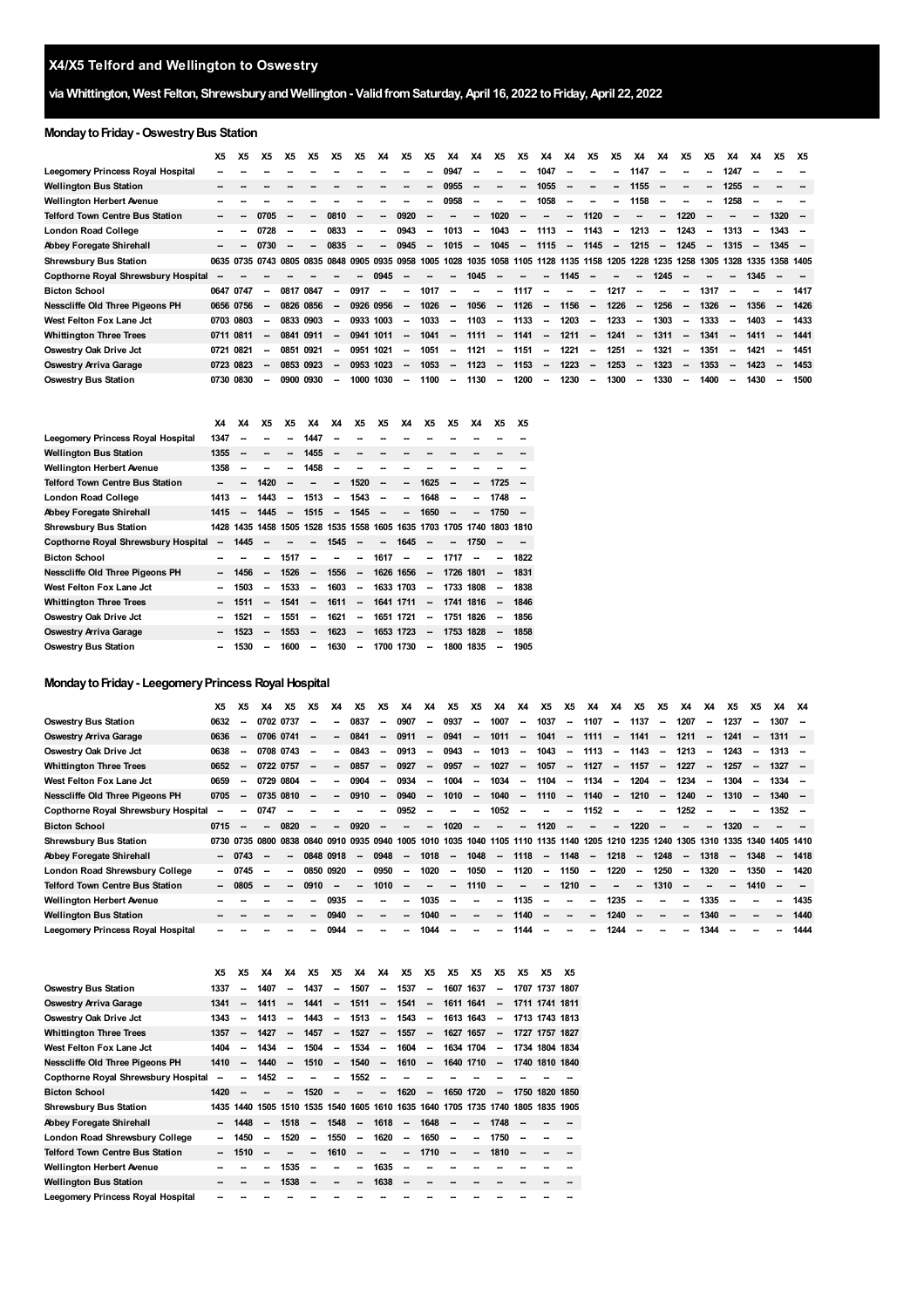# **via Whittington, West Felton, ShrewsburyandWellington- ValidfromSaturday,April 16, 2022 toFriday,April 22, 2022**

# **Monday to Friday - Oswestry Bus Station**

|                                        | X5        | Х5   | Х5                       | Х5        | X5   | Х5                       | X5                       | <b>X4</b>                | <b>X5</b>                | X5     | X4                       | X4                       | <b>X5</b>                | X5                       | X4                                 | X4                       | Х5                       | X5                       | X4                       | X4                       | X5                       | Х5                       | X4                       | X4                       | X5                       | <b>X5</b> |
|----------------------------------------|-----------|------|--------------------------|-----------|------|--------------------------|--------------------------|--------------------------|--------------------------|--------|--------------------------|--------------------------|--------------------------|--------------------------|------------------------------------|--------------------------|--------------------------|--------------------------|--------------------------|--------------------------|--------------------------|--------------------------|--------------------------|--------------------------|--------------------------|-----------|
| Leegomery Princess Royal Hospital      |           |      |                          |           |      |                          |                          |                          |                          |        | 0947                     | -                        | --                       | --                       | 1047                               | $\overline{\phantom{a}}$ | $\overline{\phantom{a}}$ | $\overline{\phantom{a}}$ | 1147                     | --                       |                          | --                       | 1247                     |                          |                          |           |
| <b>Wellington Bus Station</b>          |           |      |                          |           |      |                          |                          |                          |                          | -      | 0955                     | $\overline{\phantom{a}}$ | $\overline{\phantom{a}}$ | $\overline{\phantom{a}}$ | 1055                               | $\overline{\phantom{a}}$ | $\overline{\phantom{a}}$ | $\overline{\phantom{a}}$ | 1155                     | $\overline{\phantom{a}}$ | $\overline{\phantom{a}}$ | --                       | 1255                     |                          |                          |           |
| <b>Wellington Herbert Avenue</b>       |           |      |                          |           |      |                          |                          |                          |                          | -      | 0958                     | $\sim$                   | $\overline{\phantom{a}}$ | $\sim$                   | 1058                               | $\sim$                   | $\sim$                   | $\overline{\phantom{a}}$ | 1158                     | --                       | --                       | --                       | 1258                     | --                       |                          |           |
| <b>Telford Town Centre Bus Station</b> |           |      | 0705                     |           | Ξ.   | 0810                     |                          | $\sim$                   | 0920                     |        |                          | ÷.                       | 1020                     | $\overline{\phantom{a}}$ | $\overline{\phantom{a}}$           | $\overline{\phantom{a}}$ | 1120                     | $\overline{\phantom{a}}$ | $\sim$                   | $\overline{\phantom{a}}$ | 1220                     |                          |                          | $\overline{\phantom{a}}$ | $1320 -$                 |           |
| London Road College                    |           |      | 0728                     |           | -    | 0833                     | $\overline{\phantom{a}}$ | -                        | 0943                     | -      | 1013                     | $\overline{\phantom{a}}$ | 1043                     | $\sim$                   | 1113                               | $\sim$                   | 1143                     | $\sim$                   | 1213                     | $\overline{\phantom{a}}$ | 1243                     | $\overline{\phantom{a}}$ | 1313                     | -                        | $1343 -$                 |           |
| <b>Abbey Foregate Shirehall</b>        |           |      | 0730                     |           | -−   | 0835                     | $\overline{\phantom{a}}$ |                          | 0945                     | $\sim$ | 1015                     | $\sim$                   | 1045                     | $\overline{\phantom{a}}$ | 1115                               | $\sim$                   | 1145                     | $\overline{\phantom{a}}$ | 1215                     | $\sim$                   | 1245                     | $\overline{\phantom{a}}$ | 1315                     | $\overline{\phantom{a}}$ | $1345 -$                 |           |
| <b>Shrewsbury Bus Station</b>          |           |      | 0635 0735 0743           | 0805      | 0835 | 0848                     |                          | 0905 0935 0958           |                          | 1005   | 1028                     | 1035                     |                          |                          | 1058 1105 1128 1135 1158 1205 1228 |                          |                          |                          |                          | 1235                     | 1258                     |                          | 1305 1328                |                          | 1335 1358 1405           |           |
| Copthorne Royal Shrewsbury Hospital    |           |      |                          |           |      |                          | --                       | 0945                     |                          |        | --                       | 1045                     | --                       | --                       | $\overline{\phantom{a}}$           | 1145                     | $\overline{\phantom{a}}$ | $\overline{\phantom{a}}$ | $\overline{\phantom{a}}$ | 1245                     |                          | -                        |                          | 1345                     |                          |           |
| <b>Bicton School</b>                   | 0647 0747 |      | $\overline{\phantom{a}}$ | 0817      | 0847 | $\overline{\phantom{a}}$ | 0917                     | $\overline{\phantom{a}}$ | $\overline{\phantom{a}}$ | 1017   | $\overline{\phantom{a}}$ | $\overline{\phantom{a}}$ | $\sim$                   | 1117                     | $\sim$                             | $\overline{\phantom{a}}$ | $\overline{\phantom{a}}$ | 1217                     | $\sim$                   | --                       | $\overline{\phantom{a}}$ | 1317                     | $\overline{\phantom{a}}$ |                          | --                       | 1417      |
| Nesscliffe Old Three Pigeons PH        | 0656 0756 |      | $\overline{\phantom{a}}$ | 0826      | 0856 | $\overline{\phantom{a}}$ | 0926                     | 0956                     | $\overline{\phantom{a}}$ | 1026   | $\overline{\phantom{a}}$ | 1056                     | $\overline{\phantom{a}}$ | 1126                     | $\overline{\phantom{a}}$           | 1156                     | $\sim$                   | 1226                     | $\sim$                   | 1256                     | $\overline{\phantom{a}}$ | 1326                     |                          | 1356                     | $\overline{\phantom{a}}$ | 1426      |
| West Felton Fox Lane Jct               | 0703 0803 |      | $\sim$                   | 0833 0903 |      | $\overline{\phantom{a}}$ |                          | 0933 1003                | $\overline{\phantom{a}}$ | 1033   | $\sim$                   | 1103                     | $\overline{\phantom{a}}$ | 1133                     | $\sim$                             | 1203                     | $\sim$                   | 1233                     | $\sim$                   | 1303                     | $\overline{\phantom{a}}$ | 1333                     | $\sim$                   | 1403                     | $\overline{\phantom{a}}$ | 1433      |
| <b>Whittington Three Trees</b>         | 0711 0811 |      | $\overline{\phantom{a}}$ | 0841      | 0911 | -                        | 0941 1011                |                          | $\overline{\phantom{a}}$ | 1041   | $\overline{\phantom{a}}$ | 1111                     | $\overline{\phantom{a}}$ | 1141                     | $\overline{\phantom{a}}$           | 1211                     | $\sim$                   | 1241                     | $\sim$                   | 1311                     | $\overline{\phantom{a}}$ | 1341                     | $\sim$                   | 1411                     | $\overline{\phantom{a}}$ | 1441      |
| Oswestry Oak Drive Jct                 | 0721      | 0821 | $\overline{\phantom{a}}$ | 0851      | 0921 | --                       | 0951                     | 1021                     | -                        | 1051   | $\overline{\phantom{a}}$ | 1121                     | $\overline{\phantom{a}}$ | 1151                     | $\sim$                             | 1221                     | $\sim$                   | 1251                     | $\sim$                   | 1321                     | $\overline{\phantom{a}}$ | 1351                     | $\overline{\phantom{a}}$ | 1421                     | $\overline{\phantom{a}}$ | 1451      |
| Oswestry Arriva Garage                 | 0723 0823 |      | $\overline{\phantom{a}}$ | 0853 0923 |      | $\overline{\phantom{a}}$ | 0953 1023                |                          | $\overline{\phantom{a}}$ | 1053   | $\overline{\phantom{a}}$ | 1123                     | $\overline{\phantom{a}}$ | 1153                     | $\sim$                             | 1223                     | $\overline{\phantom{a}}$ | 1253                     | $\sim$                   | 1323                     | $\overline{\phantom{a}}$ | 1353                     | $\sim$                   | 1423                     | $\overline{\phantom{a}}$ | 1453      |
| <b>Oswestry Bus Station</b>            | 0730 0830 |      | $\overline{\phantom{a}}$ | 0900      | 0930 | $\overline{\phantom{a}}$ | 1000                     | 1030                     | -                        | 1100   | $\overline{\phantom{a}}$ | 1130                     | $\overline{\phantom{a}}$ | 1200                     | $\overline{\phantom{a}}$           | 1230                     | $\overline{\phantom{a}}$ | 1300                     | $\sim$                   | 1330                     | $\overline{\phantom{a}}$ | 1400                     | $\overline{\phantom{a}}$ | 1430                     | $\overline{\phantom{a}}$ | 1500      |

|                                        | X4   | X4   | <b>X5</b>                | <b>X5</b>                | X4                       | X4                       | X <sub>5</sub>           | <b>X5</b>                | X4                       | <b>X5</b>                | <b>X5</b> | <b>X4</b>                | Х5                                                                    | Х5   |
|----------------------------------------|------|------|--------------------------|--------------------------|--------------------------|--------------------------|--------------------------|--------------------------|--------------------------|--------------------------|-----------|--------------------------|-----------------------------------------------------------------------|------|
| Leegomery Princess Royal Hospital      | 1347 | --   |                          |                          | 1447                     |                          |                          |                          |                          |                          |           |                          |                                                                       |      |
| Wellington Bus Station                 | 1355 | --   |                          |                          | 1455                     | --                       |                          |                          |                          |                          |           |                          |                                                                       |      |
| Wellington Herbert Avenue              | 1358 | --   |                          | --                       | 1458                     | --                       |                          |                          |                          |                          |           |                          |                                                                       |      |
| <b>Telford Town Centre Bus Station</b> | --   | --   | 1420                     |                          |                          | $\overline{\phantom{a}}$ | 1520                     | --                       | $\overline{\phantom{a}}$ | 1625                     | --        | $\overline{\phantom{a}}$ | 1725                                                                  |      |
| London Road College                    | 1413 | --   | 1443                     | $\overline{\phantom{a}}$ | 1513                     | $\overline{\phantom{a}}$ | 1543                     | $\overline{\phantom{a}}$ |                          | 1648                     | --        | --                       | 1748                                                                  |      |
| Abbey Foregate Shirehall               | 1415 | --   | 1445                     | $\overline{\phantom{a}}$ | 1515                     | -                        | 1545                     | --                       | --                       | 1650                     | --        | --                       | 1750                                                                  |      |
| <b>Shrewsbury Bus Station</b>          |      |      |                          |                          |                          |                          |                          |                          |                          |                          |           |                          | 1428 1435 1458 1505 1528 1535 1558 1605 1635 1703 1705 1740 1803 1810 |      |
| Copthorne Royal Shrewsbury Hospital    | --   | 1445 |                          |                          |                          | 1545                     | --                       | -                        | 1645                     | --                       |           | 1750                     |                                                                       |      |
| <b>Bicton School</b>                   |      |      |                          | 1517                     |                          |                          | --                       | 1617                     | --                       | --                       | 1717      |                          |                                                                       | 1822 |
| Nesscliffe Old Three Pigeons PH        |      | 1456 | $\overline{\phantom{a}}$ | 1526                     | $\overline{\phantom{a}}$ | 1556                     | $\overline{\phantom{a}}$ | 1626 1656                |                          | $\overline{\phantom{a}}$ | 1726 1801 |                          | $\overline{\phantom{a}}$                                              | 1831 |
| West Felton Fox Lane Jct               | --   | 1503 | $\overline{\phantom{a}}$ | 1533                     | $\overline{\phantom{a}}$ | 1603                     | $\overline{\phantom{a}}$ | 1633 1703                |                          | $\overline{\phantom{a}}$ | 1733 1808 |                          | $\overline{\phantom{a}}$                                              | 1838 |
| Whittington Three Trees                | --   | 1511 | $\overline{\phantom{a}}$ | 1541                     | $\overline{\phantom{a}}$ | 1611                     | $\overline{\phantom{a}}$ | 1641 1711                |                          | $\overline{\phantom{a}}$ | 1741 1816 |                          | $\overline{\phantom{a}}$                                              | 1846 |
| Oswestry Oak Drive Jct                 | --   | 1521 | --                       | 1551                     | $\overline{\phantom{a}}$ | 1621                     | $\overline{\phantom{a}}$ | 1651 1721                |                          | $\overline{\phantom{a}}$ | 1751 1826 |                          | $\overline{\phantom{a}}$                                              | 1856 |
| Oswestry Arriva Garage                 |      | 1523 | --                       | 1553                     | --                       | 1623                     | $\overline{\phantom{a}}$ | 1653 1723                |                          | $\overline{\phantom{a}}$ | 1753 1828 |                          | $\overline{\phantom{a}}$                                              | 1858 |
| <b>Oswestry Bus Station</b>            | --   | 1530 | --                       | 1600                     | --                       | 1630                     | $\overline{\phantom{a}}$ | 1700 1730                |                          | $\overline{\phantom{a}}$ | 1800 1835 |                          | --                                                                    | 1905 |

# **MondaytoFriday- LeegomeryPrincess RoyalHospital**

|                                        | X5   | X5      | X4                       | X5                       | X5                       | X4                       | X5                       | X5                       | X4                       | X4                       | X5                       | X5                       | X4                       | X4                       | Х5                       | X5                       | X4                       | X4                       | X5                       | X5                       | X4                       | X4                       | X5     | X5                       | X4 X4                                                                                                                             |      |
|----------------------------------------|------|---------|--------------------------|--------------------------|--------------------------|--------------------------|--------------------------|--------------------------|--------------------------|--------------------------|--------------------------|--------------------------|--------------------------|--------------------------|--------------------------|--------------------------|--------------------------|--------------------------|--------------------------|--------------------------|--------------------------|--------------------------|--------|--------------------------|-----------------------------------------------------------------------------------------------------------------------------------|------|
| <b>Oswestry Bus Station</b>            | 0632 | --      | 0702 0737                |                          |                          | --                       | 0837                     | $\overline{\phantom{a}}$ | 0907                     | $\overline{\phantom{a}}$ | 0937                     | $\sim$                   | 1007                     | $\sim$                   | 1037                     | $\overline{\phantom{a}}$ | 1107                     | $\sim$                   | 1137                     | $\sim$                   | 1207                     | $\overline{\phantom{a}}$ | 1237   | $\overline{\phantom{a}}$ | $1307 -$                                                                                                                          |      |
| Oswestry Arriva Garage                 | 0636 | $\sim$  | 0706 0741                |                          | Ξ.                       | $\sim$                   | 0841                     | $\sim$                   | 0911                     | $\sim$                   | 0941                     | $\sim$                   | 1011                     | $\sim$                   | 1041                     | $\sim$                   | 1111                     | $\sim$                   | 1141                     | $\overline{\phantom{a}}$ | 1211                     | $\overline{\phantom{a}}$ | 1241   | $\overline{\phantom{a}}$ | $1311 -$                                                                                                                          |      |
| Oswestry Oak Drive Jct                 | 0638 | --      | 0708 0743                |                          | $\overline{\phantom{a}}$ | -                        | 0843                     | $\overline{\phantom{a}}$ | 0913                     | $\overline{\phantom{a}}$ | 0943                     | $\sim$                   | 1013                     | $\overline{\phantom{a}}$ | 1043                     | $\sim$                   | 1113                     | $\sim$                   | 1143                     | $\sim$                   | 1213                     | $\overline{\phantom{a}}$ | 1243   | $\overline{\phantom{a}}$ | $1313 -$                                                                                                                          |      |
| <b>Whittington Three Trees</b>         | 0652 |         | 0722 0757                |                          |                          | $\overline{\phantom{a}}$ | 0857                     | $\overline{\phantom{a}}$ | 0927                     | $\overline{\phantom{a}}$ | 0957                     | $\sim$                   | 1027                     | $\overline{\phantom{a}}$ | 1057                     | $\sim$                   | 1127                     | $\sim$                   | 1157                     | $\sim$                   | 1227                     | $\overline{\phantom{a}}$ | 1257   | $\overline{\phantom{a}}$ | $1327 -$                                                                                                                          |      |
| West Felton Fox Lane Jct               | 0659 | $\sim$  |                          | 0729 0804                | $\overline{\phantom{a}}$ | $\sim$                   | 0904                     | $\sim$                   | 0934                     | $\sim$                   | 1004                     | $\sim$                   | 1034                     | $\sim$                   | $1104 -$                 |                          | 1134                     | $\sim$                   | 1204                     | $\overline{\phantom{a}}$ | 1234                     | $\overline{\phantom{a}}$ | 1304   | $\overline{\phantom{a}}$ | $1334 -$                                                                                                                          |      |
| Nesscliffe Old Three Pigeons PH        | 0705 | $\sim$  |                          | 0735 0810                | $\overline{\phantom{a}}$ | $\sim$                   | 0910                     | $\sim$                   | 0940                     | $\sim$                   | 1010                     | $\sim$                   | 1040                     | $\sim$                   | $1110 -$                 |                          | 1140                     | $\overline{\phantom{a}}$ | 1210                     | $\sim$                   | 1240                     | $\sim$                   | 1310   | $\overline{\phantom{a}}$ | $1340 -$                                                                                                                          |      |
| Copthorne Royal Shrewsbury Hospital    | --   | --      | 0747                     |                          |                          |                          |                          |                          | 0952                     | $\overline{\phantom{a}}$ | $\overline{\phantom{a}}$ | $\sim$                   | 1052                     | $\overline{\phantom{a}}$ | $\sim$                   | $\sim$                   | 1152                     | $\sim$                   | $\sim$                   | $\overline{\phantom{a}}$ | 1252                     | $\overline{\phantom{a}}$ | $\sim$ | $\sim$                   | $1352 -$                                                                                                                          |      |
| <b>Bicton School</b>                   | 0715 |         | --                       | 0820                     |                          | -                        | 0920                     |                          | $\overline{\phantom{a}}$ | $\overline{\phantom{a}}$ | 1020                     | $\overline{\phantom{a}}$ | $\overline{\phantom{a}}$ | $\sim$                   | 1120                     | $\overline{\phantom{a}}$ | $\overline{\phantom{a}}$ | $\overline{\phantom{a}}$ | 1220                     | $\overline{\phantom{a}}$ | $\overline{\phantom{a}}$ | -                        | 1320   |                          |                                                                                                                                   |      |
| <b>Shrewsbury Bus Station</b>          |      |         |                          |                          |                          |                          |                          |                          |                          |                          |                          |                          |                          |                          |                          |                          |                          |                          |                          |                          |                          |                          |        |                          | 0730 0735 0800 0838 0840 0910 0935 0940 1005 1010 1035 1040 1105 1110 1135 1140 1205 1210 1235 1240 1305 1310 1335 1340 1405 1410 |      |
| Abbey Foregate Shirehall               |      | $-0743$ |                          |                          | 0848 0918                |                          | $\overline{\phantom{a}}$ | 0948                     | -                        | 1018                     | $\overline{\phantom{a}}$ | 1048                     | $\overline{\phantom{a}}$ | 1118                     | $\sim$                   | 1148                     | $\overline{\phantom{a}}$ | 1218                     | $\sim$                   | 1248                     | $\overline{\phantom{a}}$ | 1318                     | $\sim$ | 1348                     | $\overline{\phantom{a}}$                                                                                                          | 1418 |
| London Road Shrewsbury College         |      | $-0745$ | $\overline{\phantom{a}}$ | $\overline{\phantom{a}}$ | 0850 0920                |                          | $\sim$                   | 0950                     | $\sim$                   | 1020                     | $\sim$                   | 1050                     | $\sim$                   | 1120                     | $\sim$                   | 1150                     | $\sim$                   | 1220                     | $\sim$                   | 1250                     | $\overline{\phantom{a}}$ | 1320                     | $\sim$ | 1350                     | $\overline{\phantom{a}}$                                                                                                          | 1420 |
| <b>Telford Town Centre Bus Station</b> |      | 0805    | $\overline{\phantom{a}}$ |                          | 0910                     | $\overline{\phantom{a}}$ | --                       | 1010                     | -                        | $\overline{\phantom{a}}$ | $\overline{\phantom{a}}$ | 1110                     | $\overline{\phantom{a}}$ | $\overline{\phantom{a}}$ | $\overline{\phantom{a}}$ | 1210                     | $\overline{\phantom{a}}$ | $\overline{\phantom{a}}$ | $\sim$                   | 1310                     | $\overline{\phantom{a}}$ | $\overline{\phantom{a}}$ | $\sim$ | 1410                     |                                                                                                                                   |      |
| Wellington Herbert Avenue              |      |         |                          |                          |                          | 0935                     | --                       |                          | --                       | 1035                     | $\overline{\phantom{a}}$ | -                        | -                        | 1135                     | $\overline{\phantom{a}}$ | $\overline{\phantom{a}}$ | $\overline{\phantom{a}}$ | 1235                     | $\sim$                   | $\overline{\phantom{a}}$ | $\overline{\phantom{a}}$ | 1335                     |        |                          | --                                                                                                                                | 1435 |
| <b>Wellington Bus Station</b>          |      |         |                          |                          | Ξ.                       | 0940                     |                          | $\overline{\phantom{a}}$ | -                        | 1040                     | $\overline{\phantom{a}}$ | $\overline{\phantom{a}}$ | ۰.                       | 1140                     | $\overline{\phantom{a}}$ | $\sim$                   | $\overline{\phantom{a}}$ | 1240                     | $\overline{\phantom{a}}$ | $\overline{\phantom{a}}$ | $\overline{\phantom{a}}$ | 1340                     |        |                          | $\overline{\phantom{a}}$                                                                                                          | 1440 |
| Leegomery Princess Royal Hospital      |      |         |                          |                          |                          | 0944                     |                          |                          |                          | 1044                     |                          |                          |                          | 1144                     |                          |                          |                          | 1244                     |                          |                          |                          | 1344                     |        |                          |                                                                                                                                   | 1444 |

|                                        | Х5   | Х5                       | X4   | <b>X4</b>                | <b>X5</b>                | <b>X5</b>                | <b>X4</b>                                                             | <b>X4</b>                | <b>X5</b>                | <b>X5</b>                | <b>X5</b>                | <b>X5</b> | <b>X5</b>                | Х5 | X5             | <b>X5</b> |
|----------------------------------------|------|--------------------------|------|--------------------------|--------------------------|--------------------------|-----------------------------------------------------------------------|--------------------------|--------------------------|--------------------------|--------------------------|-----------|--------------------------|----|----------------|-----------|
| Oswestry Bus Station                   | 1337 | --                       | 1407 | --                       | 1437                     | $\overline{\phantom{a}}$ | 1507                                                                  | $\overline{\phantom{a}}$ | 1537                     | $\overline{\phantom{a}}$ | 1607 1637                |           | $\overline{\phantom{a}}$ |    | 1707 1737 1807 |           |
| Oswestry Arriva Garage                 | 1341 | --                       | 1411 | $\overline{\phantom{a}}$ | 1441                     | $\overline{\phantom{a}}$ | 1511                                                                  | $\overline{\phantom{a}}$ | 1541                     | $\overline{\phantom{a}}$ | 1611 1641                |           | $\overline{\phantom{a}}$ |    | 1711 1741 1811 |           |
| Oswestry Oak Drive Jct                 | 1343 | --                       | 1413 | --                       | 1443                     | $\overline{\phantom{a}}$ | 1513                                                                  | $\overline{\phantom{a}}$ | 1543                     | $\overline{\phantom{a}}$ |                          | 1613 1643 | $\overline{\phantom{a}}$ |    | 1713 1743 1813 |           |
| Whittington Three Trees                | 1357 | --                       | 1427 | $\overline{\phantom{a}}$ | 1457                     | $\overline{\phantom{a}}$ | 1527                                                                  | $\overline{\phantom{a}}$ | 1557                     | $\overline{\phantom{a}}$ | 1627 1657                |           | $\overline{\phantom{a}}$ |    | 1727 1757 1827 |           |
| West Felton Fox Lane Jct               | 1404 | $\overline{\phantom{a}}$ | 1434 | $\overline{\phantom{a}}$ | 1504                     | $\overline{\phantom{a}}$ | 1534                                                                  | $\overline{\phantom{a}}$ | 1604                     | $\overline{\phantom{a}}$ |                          | 1634 1704 | $\overline{\phantom{a}}$ |    | 1734 1804 1834 |           |
| Nesscliffe Old Three Pigeons PH        | 1410 | --                       | 1440 | $\sim$                   | 1510                     | $\overline{\phantom{a}}$ | 1540                                                                  | $\overline{\phantom{a}}$ | 1610                     | $\overline{\phantom{a}}$ | 1640 1710                |           | $\sim$                   |    | 1740 1810 1840 |           |
| Copthorne Royal Shrewsbury Hospital    | --   | --                       | 1452 | $\overline{\phantom{a}}$ |                          | $\overline{\phantom{a}}$ | 1552                                                                  | -                        |                          |                          |                          |           |                          |    |                |           |
| <b>Bicton School</b>                   | 1420 |                          |      |                          | 1520                     | $\overline{\phantom{a}}$ |                                                                       | $\overline{\phantom{a}}$ | 1620                     | $\overline{\phantom{a}}$ |                          | 1650 1720 | $\overline{\phantom{a}}$ |    | 1750 1820 1850 |           |
| Shrewsbury Bus Station                 | 1435 | 1440                     |      |                          |                          |                          | 1505 1510 1535 1540 1605 1610 1635 1640 1705 1735 1740 1805 1835 1905 |                          |                          |                          |                          |           |                          |    |                |           |
| Abbey Foregate Shirehall               | --   | 1448                     | --   | 1518                     | $\overline{\phantom{a}}$ | 1548                     | $\overline{\phantom{a}}$                                              | 1618                     | $\overline{\phantom{a}}$ | 1648                     | --                       | --        | 1748                     |    |                |           |
| London Road Shrewsbury College         |      | 1450                     | --   | 1520                     | $\overline{\phantom{a}}$ | 1550                     | $\overline{\phantom{a}}$                                              | 1620                     | $\overline{\phantom{a}}$ | 1650                     | $\overline{\phantom{a}}$ | --        | 1750                     | -- |                |           |
| <b>Telford Town Centre Bus Station</b> | --   | 1510                     | --   |                          | $\overline{\phantom{a}}$ | 1610                     | --                                                                    | --                       | $\overline{\phantom{a}}$ | 1710                     | $\overline{\phantom{a}}$ | -         | 1810                     | -- |                |           |
| Wellington Herbert Avenue              | --   |                          | --   | 1535                     | -                        | $\overline{\phantom{a}}$ | --                                                                    | 1635                     | -                        |                          |                          |           |                          |    |                |           |
| Wellington Bus Station                 | --   |                          | --   | 1538                     | $\overline{\phantom{a}}$ | -                        | -                                                                     | 1638                     | --                       |                          |                          |           |                          |    |                |           |
| Leegomery Princess Royal Hospital      |      |                          |      |                          |                          |                          |                                                                       |                          |                          |                          |                          |           |                          |    |                |           |